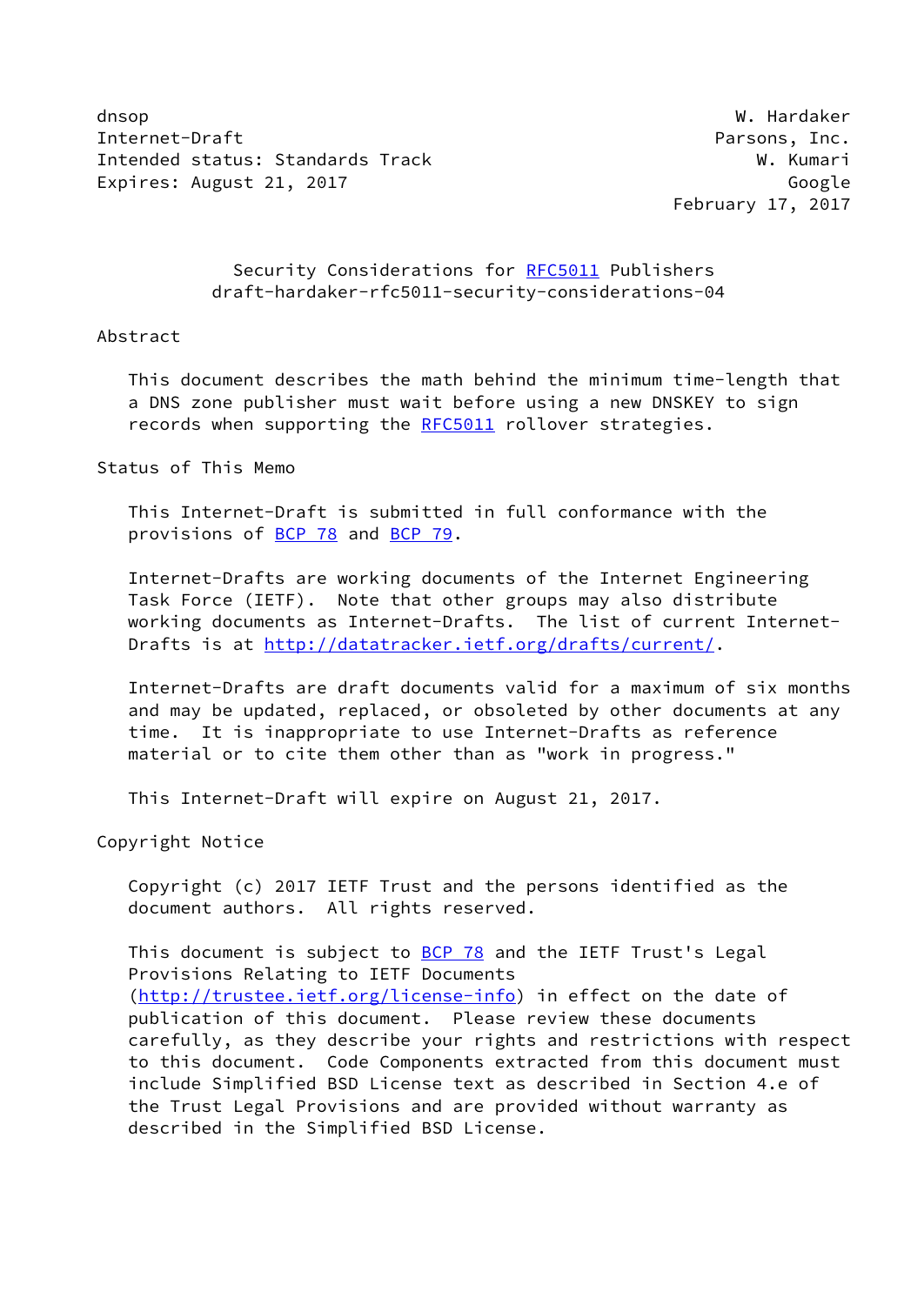dnsop W. Hardaker Internet-Draft **Parsons**, Inc. Intended status: Standards Track W. Kumari Expires: August 21, 2017 Constanting the Constantine Constanting Constanting Constanting Constanting Constanting Constanting Constanting Constanting Constanting Constanting Constanting Constanting Constanting Constanting C

February 17, 2017

## Security Considerations for [RFC5011](https://datatracker.ietf.org/doc/pdf/rfc5011) Publishers draft-hardaker-rfc5011-security-considerations-04

#### Abstract

 This document describes the math behind the minimum time-length that a DNS zone publisher must wait before using a new DNSKEY to sign records when supporting the [RFC5011](https://datatracker.ietf.org/doc/pdf/rfc5011) rollover strategies.

Status of This Memo

 This Internet-Draft is submitted in full conformance with the provisions of [BCP 78](https://datatracker.ietf.org/doc/pdf/bcp78) and [BCP 79](https://datatracker.ietf.org/doc/pdf/bcp79).

 Internet-Drafts are working documents of the Internet Engineering Task Force (IETF). Note that other groups may also distribute working documents as Internet-Drafts. The list of current Internet- Drafts is at<http://datatracker.ietf.org/drafts/current/>.

 Internet-Drafts are draft documents valid for a maximum of six months and may be updated, replaced, or obsoleted by other documents at any time. It is inappropriate to use Internet-Drafts as reference material or to cite them other than as "work in progress."

This Internet-Draft will expire on August 21, 2017.

Copyright Notice

 Copyright (c) 2017 IETF Trust and the persons identified as the document authors. All rights reserved.

This document is subject to [BCP 78](https://datatracker.ietf.org/doc/pdf/bcp78) and the IETF Trust's Legal Provisions Relating to IETF Documents [\(http://trustee.ietf.org/license-info](http://trustee.ietf.org/license-info)) in effect on the date of publication of this document. Please review these documents carefully, as they describe your rights and restrictions with respect to this document. Code Components extracted from this document must include Simplified BSD License text as described in Section 4.e of the Trust Legal Provisions and are provided without warranty as described in the Simplified BSD License.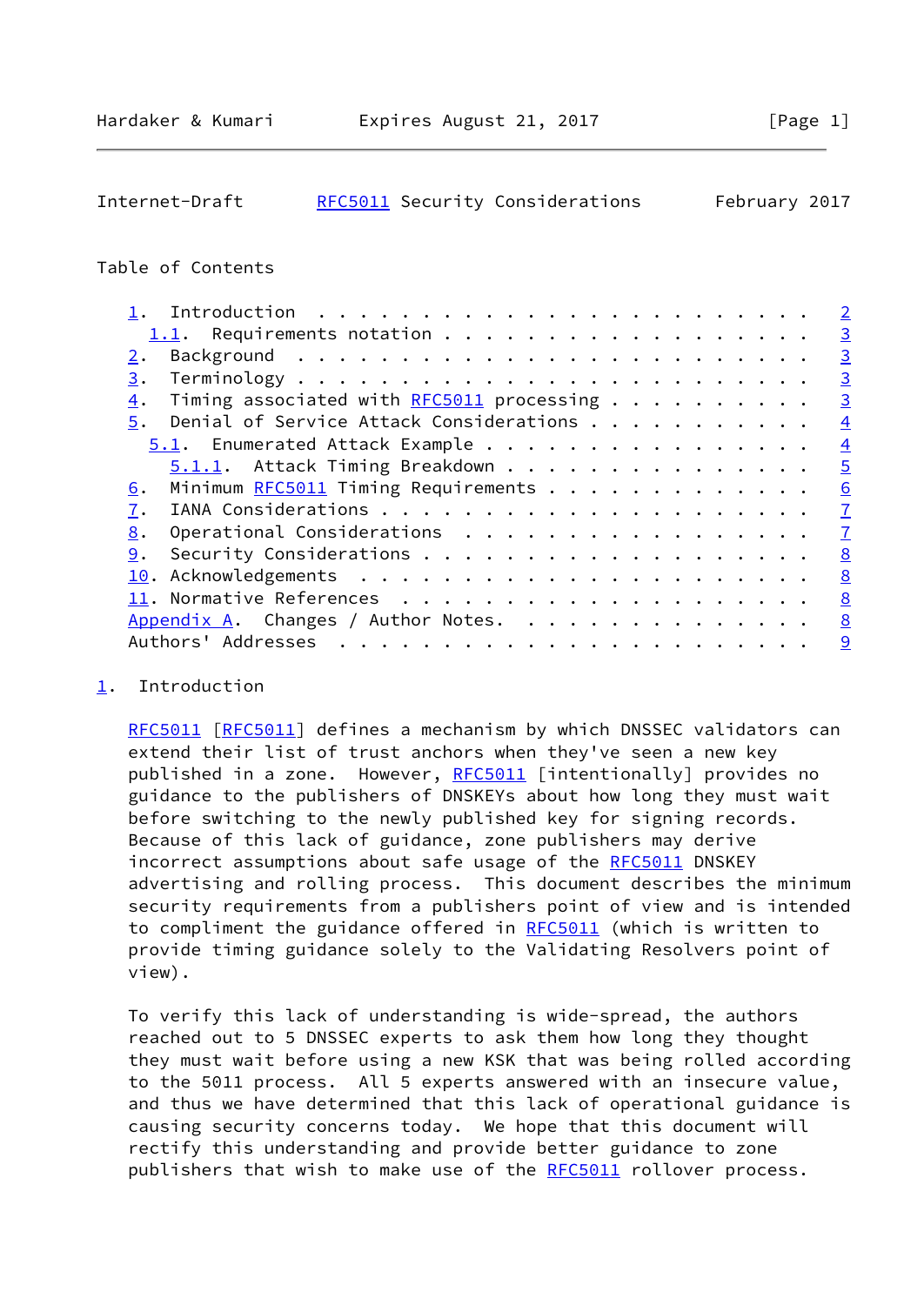# <span id="page-1-1"></span>Internet-Draft [RFC5011](https://datatracker.ietf.org/doc/pdf/rfc5011) Security Considerations February 2017

## Table of Contents

|                                                   | $\overline{2}$ |
|---------------------------------------------------|----------------|
|                                                   | $\overline{3}$ |
| 2.                                                | $\overline{3}$ |
| 3.                                                | $\overline{3}$ |
| Timing associated with $RFC5011$ processing<br>4. | $\overline{3}$ |
| Denial of Service Attack Considerations<br>5.     | $\overline{4}$ |
| 5.1. Enumerated Attack Example                    | $\overline{4}$ |
| 5.1.1. Attack Timing Breakdown                    | $\overline{5}$ |
| Minimum RFC5011 Timing Requirements<br>6.         | 6              |
| 7.                                                | $\overline{1}$ |
| Operational Considerations<br>8.                  | $\overline{1}$ |
| 9.                                                | 8              |
|                                                   | 8              |
|                                                   | 8              |
| Appendix A. Changes / Author Notes.               | 8              |
| Authors' Addresses                                | 9              |
|                                                   |                |

# <span id="page-1-0"></span>[1](#page-1-0). Introduction

 [RFC5011](https://datatracker.ietf.org/doc/pdf/rfc5011) [\[RFC5011](https://datatracker.ietf.org/doc/pdf/rfc5011)] defines a mechanism by which DNSSEC validators can extend their list of trust anchors when they've seen a new key published in a zone. However, [RFC5011](https://datatracker.ietf.org/doc/pdf/rfc5011) [intentionally] provides no guidance to the publishers of DNSKEYs about how long they must wait before switching to the newly published key for signing records. Because of this lack of guidance, zone publishers may derive incorrect assumptions about safe usage of the [RFC5011](https://datatracker.ietf.org/doc/pdf/rfc5011) DNSKEY advertising and rolling process. This document describes the minimum security requirements from a publishers point of view and is intended to compliment the guidance offered in [RFC5011](https://datatracker.ietf.org/doc/pdf/rfc5011) (which is written to provide timing guidance solely to the Validating Resolvers point of view).

 To verify this lack of understanding is wide-spread, the authors reached out to 5 DNSSEC experts to ask them how long they thought they must wait before using a new KSK that was being rolled according to the 5011 process. All 5 experts answered with an insecure value, and thus we have determined that this lack of operational guidance is causing security concerns today. We hope that this document will rectify this understanding and provide better guidance to zone publishers that wish to make use of the [RFC5011](https://datatracker.ietf.org/doc/pdf/rfc5011) rollover process.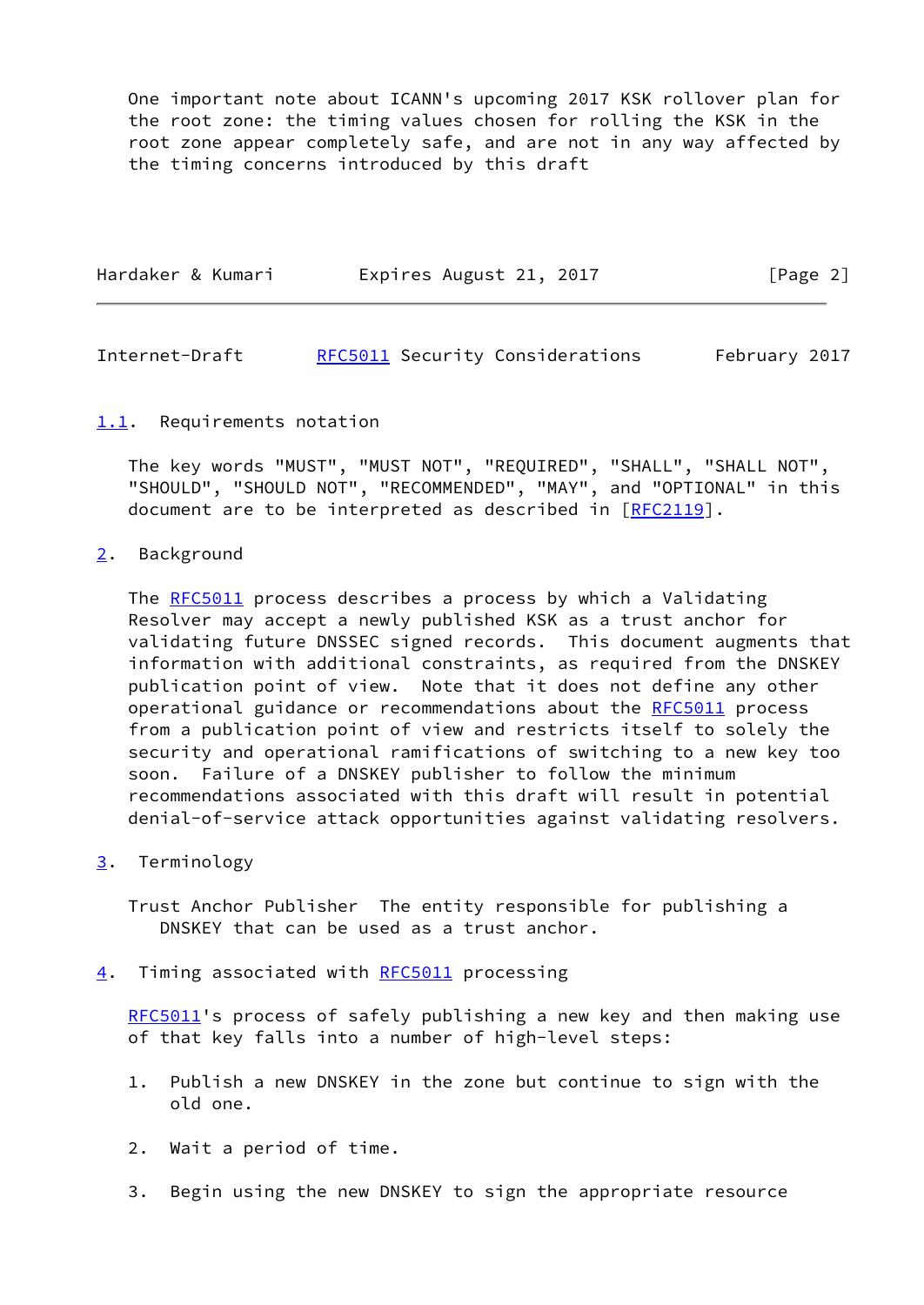One important note about ICANN's upcoming 2017 KSK rollover plan for the root zone: the timing values chosen for rolling the KSK in the root zone appear completely safe, and are not in any way affected by the timing concerns introduced by this draft

| Hardaker & Kumari<br>[Page 2]<br>Expires August 21, 2017 |  |  |
|----------------------------------------------------------|--|--|
|----------------------------------------------------------|--|--|

<span id="page-2-1"></span>Internet-Draft [RFC5011](https://datatracker.ietf.org/doc/pdf/rfc5011) Security Considerations February 2017

#### <span id="page-2-0"></span>[1.1](#page-2-0). Requirements notation

 The key words "MUST", "MUST NOT", "REQUIRED", "SHALL", "SHALL NOT", "SHOULD", "SHOULD NOT", "RECOMMENDED", "MAY", and "OPTIONAL" in this document are to be interpreted as described in [\[RFC2119](https://datatracker.ietf.org/doc/pdf/rfc2119)].

#### <span id="page-2-2"></span>[2](#page-2-2). Background

The [RFC5011](https://datatracker.ietf.org/doc/pdf/rfc5011) process describes a process by which a Validating Resolver may accept a newly published KSK as a trust anchor for validating future DNSSEC signed records. This document augments that information with additional constraints, as required from the DNSKEY publication point of view. Note that it does not define any other operational guidance or recommendations about the [RFC5011](https://datatracker.ietf.org/doc/pdf/rfc5011) process from a publication point of view and restricts itself to solely the security and operational ramifications of switching to a new key too soon. Failure of a DNSKEY publisher to follow the minimum recommendations associated with this draft will result in potential denial-of-service attack opportunities against validating resolvers.

### <span id="page-2-3"></span>[3](#page-2-3). Terminology

 Trust Anchor Publisher The entity responsible for publishing a DNSKEY that can be used as a trust anchor.

<span id="page-2-4"></span>[4](#page-2-4). Timing associated with [RFC5011](https://datatracker.ietf.org/doc/pdf/rfc5011) processing

[RFC5011](https://datatracker.ietf.org/doc/pdf/rfc5011)'s process of safely publishing a new key and then making use of that key falls into a number of high-level steps:

- 1. Publish a new DNSKEY in the zone but continue to sign with the old one.
- 2. Wait a period of time.
- 3. Begin using the new DNSKEY to sign the appropriate resource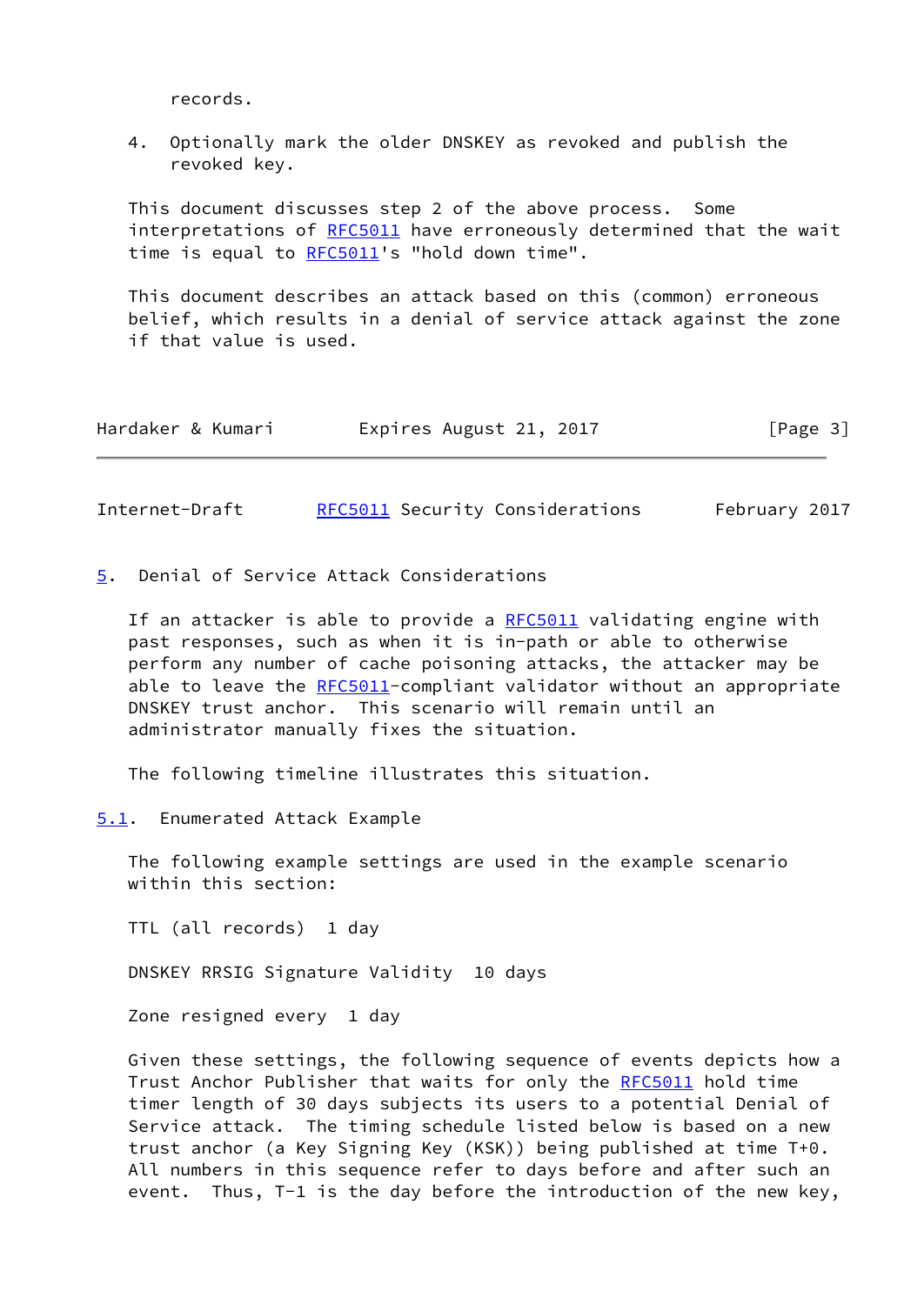records.

 4. Optionally mark the older DNSKEY as revoked and publish the revoked key.

 This document discusses step 2 of the above process. Some interpretations of [RFC5011](https://datatracker.ietf.org/doc/pdf/rfc5011) have erroneously determined that the wait time is equal to [RFC5011](https://datatracker.ietf.org/doc/pdf/rfc5011)'s "hold down time".

 This document describes an attack based on this (common) erroneous belief, which results in a denial of service attack against the zone if that value is used.

| Hardaker & Kumari |  | Expires August 21, 2017 |  |  | [Page 3] |  |
|-------------------|--|-------------------------|--|--|----------|--|
|-------------------|--|-------------------------|--|--|----------|--|

<span id="page-3-1"></span>Internet-Draft [RFC5011](https://datatracker.ietf.org/doc/pdf/rfc5011) Security Considerations February 2017

<span id="page-3-0"></span>[5](#page-3-0). Denial of Service Attack Considerations

If an attacker is able to provide a [RFC5011](https://datatracker.ietf.org/doc/pdf/rfc5011) validating engine with past responses, such as when it is in-path or able to otherwise perform any number of cache poisoning attacks, the attacker may be able to leave the [RFC5011](https://datatracker.ietf.org/doc/pdf/rfc5011)-compliant validator without an appropriate DNSKEY trust anchor. This scenario will remain until an administrator manually fixes the situation.

The following timeline illustrates this situation.

<span id="page-3-2"></span>[5.1](#page-3-2). Enumerated Attack Example

 The following example settings are used in the example scenario within this section:

TTL (all records) 1 day

DNSKEY RRSIG Signature Validity 10 days

Zone resigned every 1 day

 Given these settings, the following sequence of events depicts how a Trust Anchor Publisher that waits for only the [RFC5011](https://datatracker.ietf.org/doc/pdf/rfc5011) hold time timer length of 30 days subjects its users to a potential Denial of Service attack. The timing schedule listed below is based on a new trust anchor (a Key Signing Key (KSK)) being published at time T+0. All numbers in this sequence refer to days before and after such an event. Thus, T-1 is the day before the introduction of the new key,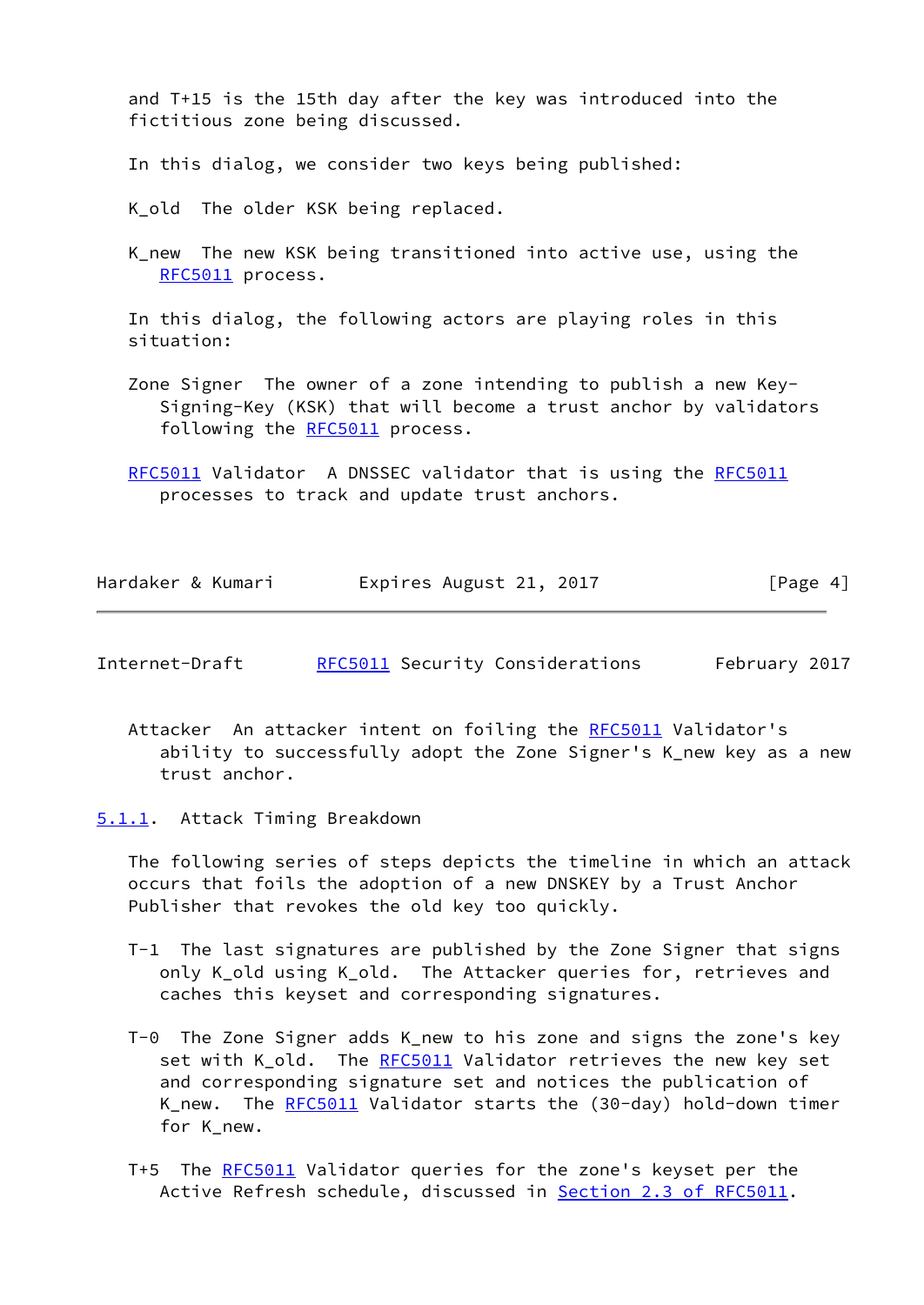and T+15 is the 15th day after the key was introduced into the fictitious zone being discussed.

In this dialog, we consider two keys being published:

K old The older KSK being replaced.

 K\_new The new KSK being transitioned into active use, using the [RFC5011](https://datatracker.ietf.org/doc/pdf/rfc5011) process.

 In this dialog, the following actors are playing roles in this situation:

- Zone Signer The owner of a zone intending to publish a new Key- Signing-Key (KSK) that will become a trust anchor by validators following the [RFC5011](https://datatracker.ietf.org/doc/pdf/rfc5011) process.
- [RFC5011](https://datatracker.ietf.org/doc/pdf/rfc5011) Validator A DNSSEC validator that is using the [RFC5011](https://datatracker.ietf.org/doc/pdf/rfc5011) processes to track and update trust anchors.

| Hardaker & Kumari | Expires August 21, 2017 | [Page 4] |
|-------------------|-------------------------|----------|
|-------------------|-------------------------|----------|

- <span id="page-4-1"></span>Internet-Draft [RFC5011](https://datatracker.ietf.org/doc/pdf/rfc5011) Security Considerations February 2017
	- Attacker An attacker intent on foiling the [RFC5011](https://datatracker.ietf.org/doc/pdf/rfc5011) Validator's ability to successfully adopt the Zone Signer's K\_new key as a new trust anchor.
- <span id="page-4-0"></span>[5.1.1](#page-4-0). Attack Timing Breakdown

 The following series of steps depicts the timeline in which an attack occurs that foils the adoption of a new DNSKEY by a Trust Anchor Publisher that revokes the old key too quickly.

- T-1 The last signatures are published by the Zone Signer that signs only K\_old using K\_old. The Attacker queries for, retrieves and caches this keyset and corresponding signatures.
- T-0 The Zone Signer adds K\_new to his zone and signs the zone's key set with K\_old. The [RFC5011](https://datatracker.ietf.org/doc/pdf/rfc5011) Validator retrieves the new key set and corresponding signature set and notices the publication of K\_new. The [RFC5011](https://datatracker.ietf.org/doc/pdf/rfc5011) Validator starts the (30-day) hold-down timer for K\_new.
- T+5 The [RFC5011](https://datatracker.ietf.org/doc/pdf/rfc5011) Validator queries for the zone's keyset per the Active Refresh schedule, discussed in **Section [2.3 of RFC5011](https://datatracker.ietf.org/doc/pdf/rfc5011#section-2.3)</u>.**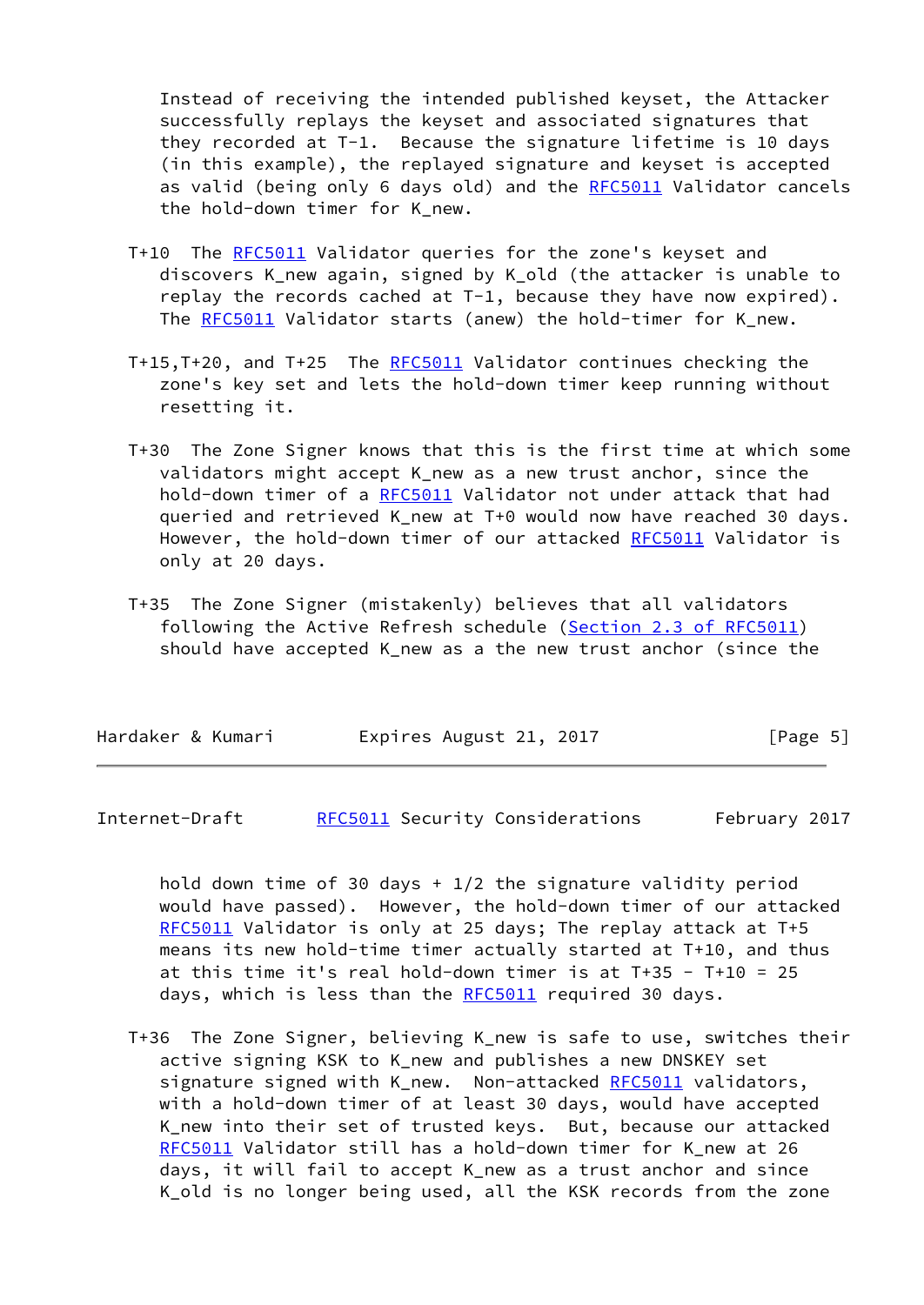Instead of receiving the intended published keyset, the Attacker successfully replays the keyset and associated signatures that they recorded at T-1. Because the signature lifetime is 10 days (in this example), the replayed signature and keyset is accepted as valid (being only 6 days old) and the [RFC5011](https://datatracker.ietf.org/doc/pdf/rfc5011) Validator cancels the hold-down timer for K\_new.

- T+10 The [RFC5011](https://datatracker.ietf.org/doc/pdf/rfc5011) Validator queries for the zone's keyset and discovers K\_new again, signed by K\_old (the attacker is unable to replay the records cached at T-1, because they have now expired). The [RFC5011](https://datatracker.ietf.org/doc/pdf/rfc5011) Validator starts (anew) the hold-timer for K\_new.
- T+15,T+20, and T+25 The [RFC5011](https://datatracker.ietf.org/doc/pdf/rfc5011) Validator continues checking the zone's key set and lets the hold-down timer keep running without resetting it.
- T+30 The Zone Signer knows that this is the first time at which some validators might accept K\_new as a new trust anchor, since the hold-down timer of a [RFC5011](https://datatracker.ietf.org/doc/pdf/rfc5011) Validator not under attack that had queried and retrieved K\_new at T+0 would now have reached 30 days. However, the hold-down timer of our attacked [RFC5011](https://datatracker.ietf.org/doc/pdf/rfc5011) Validator is only at 20 days.
- T+35 The Zone Signer (mistakenly) believes that all validators following the Active Refresh schedule (Section [2.3 of RFC5011](https://datatracker.ietf.org/doc/pdf/rfc5011#section-2.3)) should have accepted K\_new as a the new trust anchor (since the

| Hardaker & Kumari |  | Expires August 21, 2017 |  | [Page 5] |
|-------------------|--|-------------------------|--|----------|
|                   |  |                         |  |          |

<span id="page-5-0"></span>Internet-Draft [RFC5011](https://datatracker.ietf.org/doc/pdf/rfc5011) Security Considerations February 2017

hold down time of 30 days  $+1/2$  the signature validity period would have passed). However, the hold-down timer of our attacked [RFC5011](https://datatracker.ietf.org/doc/pdf/rfc5011) Validator is only at 25 days; The replay attack at T+5 means its new hold-time timer actually started at T+10, and thus at this time it's real hold-down timer is at  $T+35 - T+10 = 25$ days, which is less than the [RFC5011](https://datatracker.ietf.org/doc/pdf/rfc5011) required 30 days.

 T+36 The Zone Signer, believing K\_new is safe to use, switches their active signing KSK to K\_new and publishes a new DNSKEY set signature signed with K new. Non-attacked [RFC5011](https://datatracker.ietf.org/doc/pdf/rfc5011) validators, with a hold-down timer of at least 30 days, would have accepted K\_new into their set of trusted keys. But, because our attacked [RFC5011](https://datatracker.ietf.org/doc/pdf/rfc5011) Validator still has a hold-down timer for K\_new at 26 days, it will fail to accept K\_new as a trust anchor and since K\_old is no longer being used, all the KSK records from the zone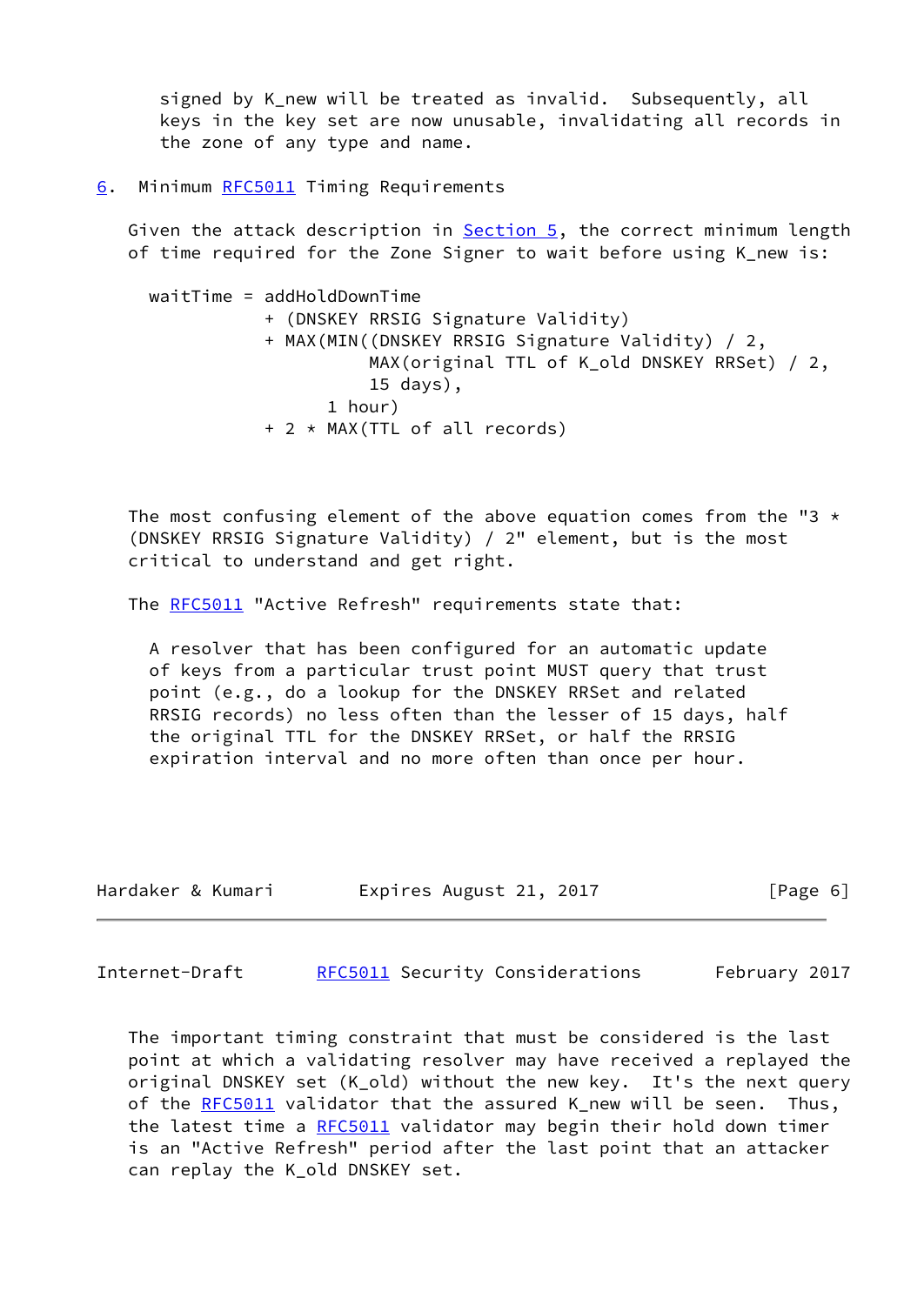signed by K new will be treated as invalid. Subsequently, all keys in the key set are now unusable, invalidating all records in the zone of any type and name.

<span id="page-6-0"></span>[6](#page-6-0). Minimum [RFC5011](https://datatracker.ietf.org/doc/pdf/rfc5011) Timing Requirements

Given the attack description in [Section 5](#page-3-0), the correct minimum length of time required for the Zone Signer to wait before using K\_new is:

 waitTime = addHoldDownTime + (DNSKEY RRSIG Signature Validity) + MAX(MIN((DNSKEY RRSIG Signature Validity) / 2, MAX(original TTL of K\_old DNSKEY RRSet) / 2, 15 days), 1 hour) + 2 \* MAX(TTL of all records)

The most confusing element of the above equation comes from the "3  $\star$  (DNSKEY RRSIG Signature Validity) / 2" element, but is the most critical to understand and get right.

The [RFC5011](https://datatracker.ietf.org/doc/pdf/rfc5011) "Active Refresh" requirements state that:

 A resolver that has been configured for an automatic update of keys from a particular trust point MUST query that trust point (e.g., do a lookup for the DNSKEY RRSet and related RRSIG records) no less often than the lesser of 15 days, half the original TTL for the DNSKEY RRSet, or half the RRSIG expiration interval and no more often than once per hour.

| Hardaker & Kumari |  | Expires August 21, 2017 |  | [Page 6] |  |
|-------------------|--|-------------------------|--|----------|--|
|-------------------|--|-------------------------|--|----------|--|

<span id="page-6-1"></span>Internet-Draft [RFC5011](https://datatracker.ietf.org/doc/pdf/rfc5011) Security Considerations February 2017

 The important timing constraint that must be considered is the last point at which a validating resolver may have received a replayed the original DNSKEY set (K\_old) without the new key. It's the next query of the [RFC5011](https://datatracker.ietf.org/doc/pdf/rfc5011) validator that the assured K\_new will be seen. Thus, the latest time a [RFC5011](https://datatracker.ietf.org/doc/pdf/rfc5011) validator may begin their hold down timer is an "Active Refresh" period after the last point that an attacker can replay the K\_old DNSKEY set.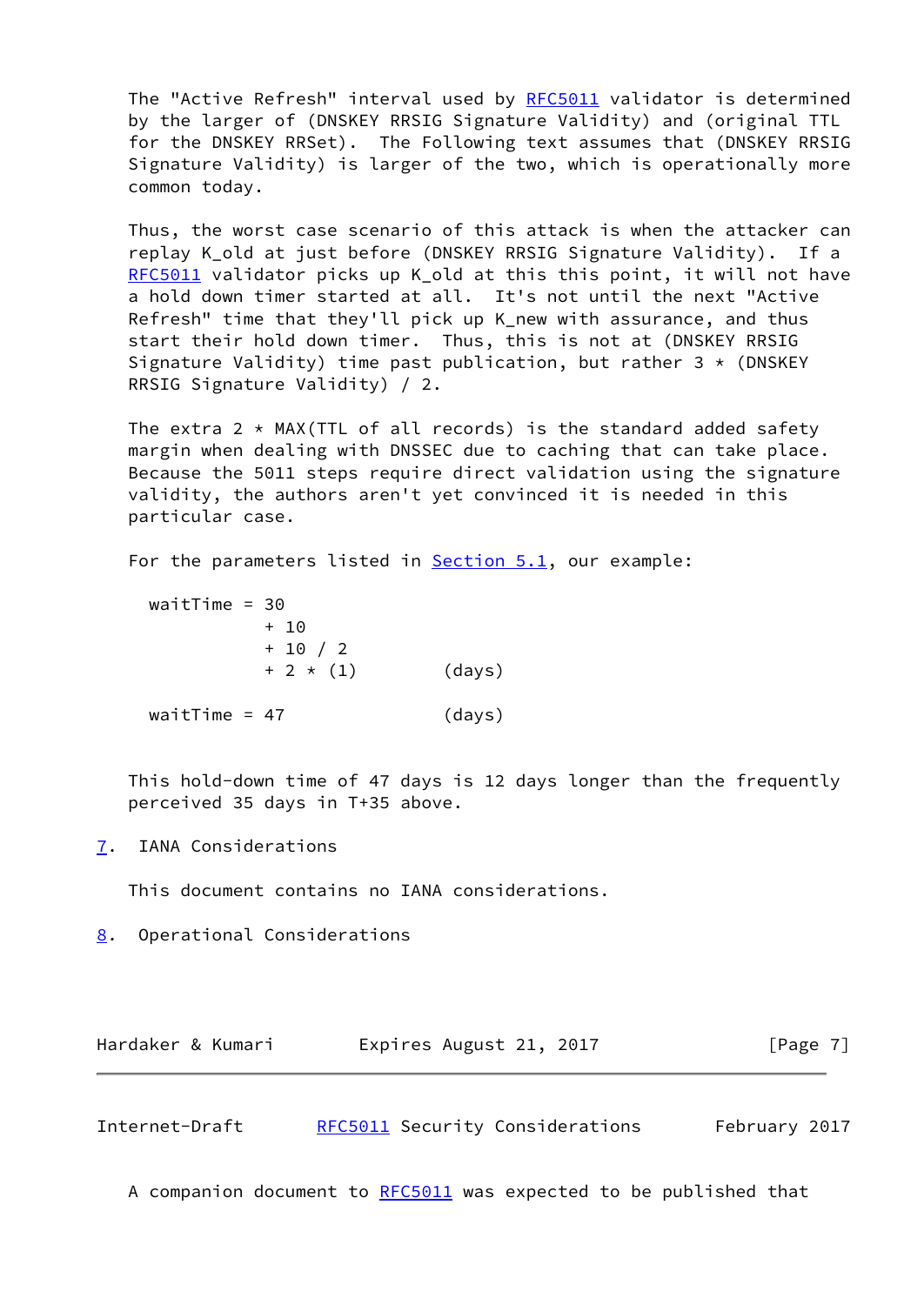The "Active Refresh" interval used by [RFC5011](https://datatracker.ietf.org/doc/pdf/rfc5011) validator is determined by the larger of (DNSKEY RRSIG Signature Validity) and (original TTL for the DNSKEY RRSet). The Following text assumes that (DNSKEY RRSIG Signature Validity) is larger of the two, which is operationally more common today.

 Thus, the worst case scenario of this attack is when the attacker can replay K\_old at just before (DNSKEY RRSIG Signature Validity). If a [RFC5011](https://datatracker.ietf.org/doc/pdf/rfc5011) validator picks up K\_old at this this point, it will not have a hold down timer started at all. It's not until the next "Active Refresh" time that they'll pick up K\_new with assurance, and thus start their hold down timer. Thus, this is not at (DNSKEY RRSIG Signature Validity) time past publication, but rather  $3 * (DNSKEY)$ RRSIG Signature Validity) / 2.

The extra  $2 \times MAX(TTL of all records)$  is the standard added safety margin when dealing with DNSSEC due to caching that can take place. Because the 5011 steps require direct validation using the signature validity, the authors aren't yet convinced it is needed in this particular case.

For the parameters listed in **Section 5.1**, our example:

| waitTime = $30$ |            |        |
|-----------------|------------|--------|
|                 | + 10       |        |
|                 | $+ 10 / 2$ |        |
|                 | $+2*(1)$   | (days) |
|                 |            |        |
| waitTime = $47$ |            | (days) |

 This hold-down time of 47 days is 12 days longer than the frequently perceived 35 days in T+35 above.

<span id="page-7-0"></span>[7](#page-7-0). IANA Considerations

This document contains no IANA considerations.

<span id="page-7-1"></span>[8](#page-7-1). Operational Considerations

| Hardaker & Kumari | Expires August 21, 2017 | [Page 7] |
|-------------------|-------------------------|----------|
|-------------------|-------------------------|----------|

<span id="page-7-2"></span>Internet-Draft [RFC5011](https://datatracker.ietf.org/doc/pdf/rfc5011) Security Considerations February 2017

A companion document to [RFC5011](https://datatracker.ietf.org/doc/pdf/rfc5011) was expected to be published that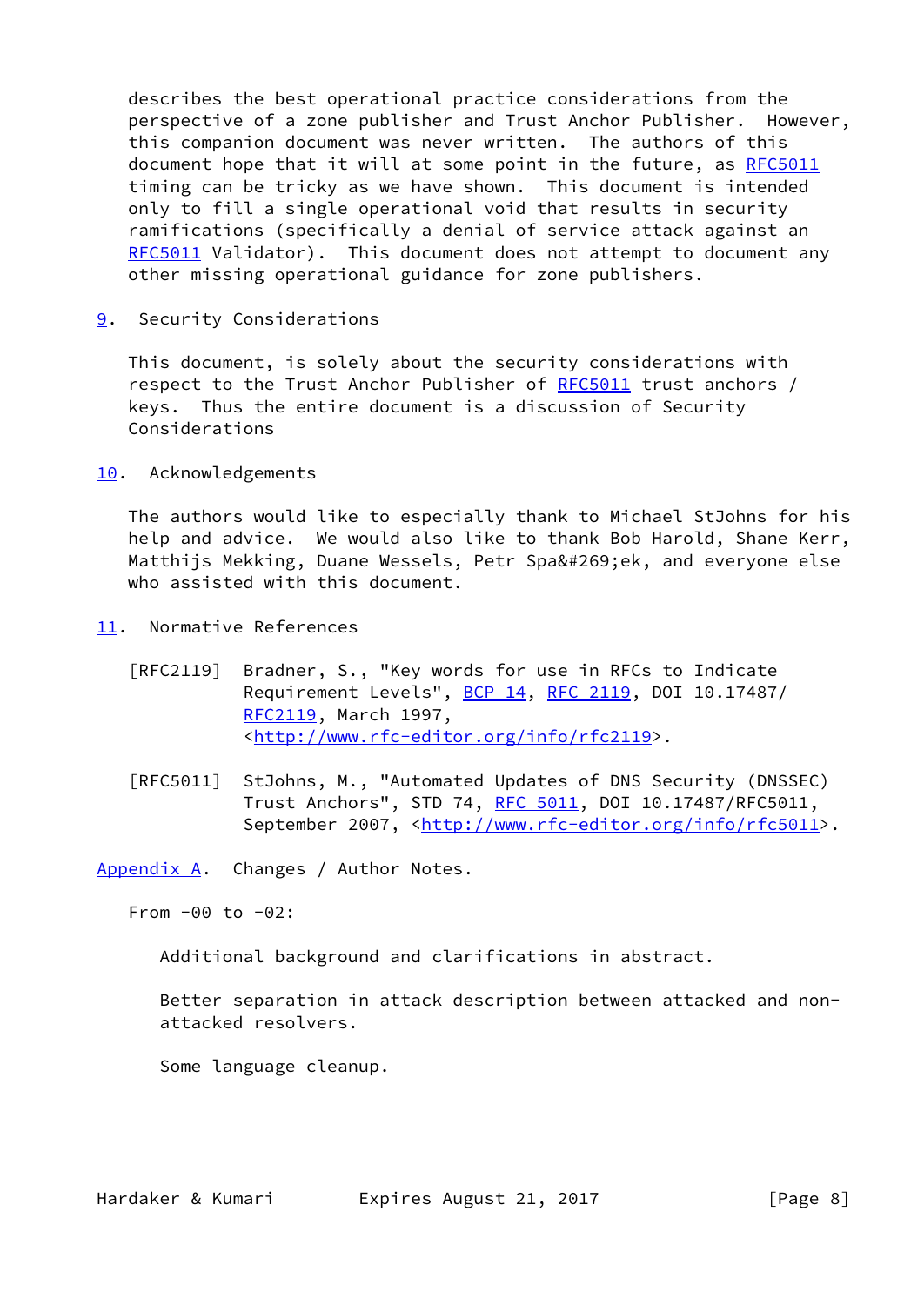describes the best operational practice considerations from the perspective of a zone publisher and Trust Anchor Publisher. However, this companion document was never written. The authors of this document hope that it will at some point in the future, as [RFC5011](https://datatracker.ietf.org/doc/pdf/rfc5011) timing can be tricky as we have shown. This document is intended only to fill a single operational void that results in security ramifications (specifically a denial of service attack against an [RFC5011](https://datatracker.ietf.org/doc/pdf/rfc5011) Validator). This document does not attempt to document any other missing operational guidance for zone publishers.

<span id="page-8-0"></span>[9](#page-8-0). Security Considerations

 This document, is solely about the security considerations with respect to the Trust Anchor Publisher of [RFC5011](https://datatracker.ietf.org/doc/pdf/rfc5011) trust anchors / keys. Thus the entire document is a discussion of Security Considerations

<span id="page-8-1"></span>[10.](#page-8-1) Acknowledgements

 The authors would like to especially thank to Michael StJohns for his help and advice. We would also like to thank Bob Harold, Shane Kerr, Matthijs Mekking, Duane Wessels, Petr Spaček, and everyone else who assisted with this document.

- <span id="page-8-2"></span>[11.](#page-8-2) Normative References
	- [RFC2119] Bradner, S., "Key words for use in RFCs to Indicate Requirement Levels", [BCP 14](https://datatracker.ietf.org/doc/pdf/bcp14), [RFC 2119](https://datatracker.ietf.org/doc/pdf/rfc2119), DOI 10.17487/ [RFC2119](https://datatracker.ietf.org/doc/pdf/rfc2119), March 1997, <<http://www.rfc-editor.org/info/rfc2119>>.
	- [RFC5011] StJohns, M., "Automated Updates of DNS Security (DNSSEC) Trust Anchors", STD 74, [RFC 5011,](https://datatracker.ietf.org/doc/pdf/rfc5011) DOI 10.17487/RFC5011, September 2007, <<http://www.rfc-editor.org/info/rfc5011>>.

<span id="page-8-3"></span>[Appendix A.](#page-8-3) Changes / Author Notes.

From -00 to -02:

Additional background and clarifications in abstract.

 Better separation in attack description between attacked and non attacked resolvers.

Some language cleanup.